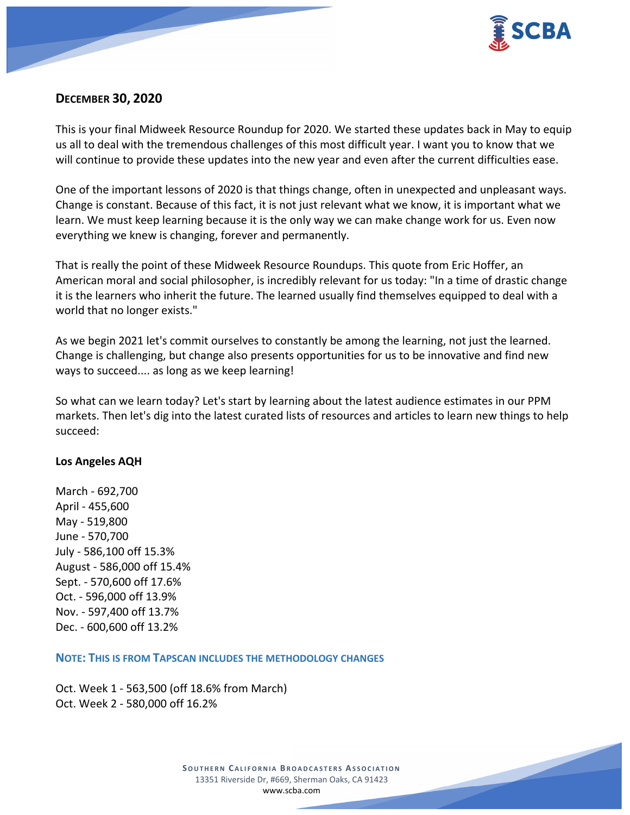

# **DECEMBER 30, 2020**

This is your final Midweek Resource Roundup for 2020. We started these updates back in May to equip us all to deal with the tremendous challenges of this most difficult year. I want you to know that we will continue to provide these updates into the new year and even after the current difficulties ease.

One of the important lessons of 2020 is that things change, often in unexpected and unpleasant ways. Change is constant. Because of this fact, it is not just relevant what we know, it is important what we learn. We must keep learning because it is the only way we can make change work for us. Even now everything we knew is changing, forever and permanently.

That is really the point of these Midweek Resource Roundups. This quote from Eric Hoffer, an American moral and social philosopher, is incredibly relevant for us today: "In a time of drastic change it is the learners who inherit the future. The learned usually find themselves equipped to deal with a world that no longer exists."

As we begin 2021 let's commit ourselves to constantly be among the learning, not just the learned. Change is challenging, but change also presents opportunities for us to be innovative and find new ways to succeed.... as long as we keep learning!

So what can we learn today? Let's start by learning about the latest audience estimates in our PPM markets. Then let's dig into the latest curated lists of resources and articles to learn new things to help succeed:

## **Los Angeles AQH**

March - 692,700 April - 455,600 May - 519,800 June - 570,700 July - 586,100 off 15.3% August - 586,000 off 15.4% Sept. - 570,600 off 17.6% Oct. - 596,000 off 13.9% Nov. - 597,400 off 13.7% Dec. - 600,600 off 13.2%

**NOTE: THIS IS FROM TAPSCAN INCLUDES THE METHODOLOGY CHANGES** 

Oct. Week 1 - 563,500 (off 18.6% from March) Oct. Week 2 - 580,000 off 16.2%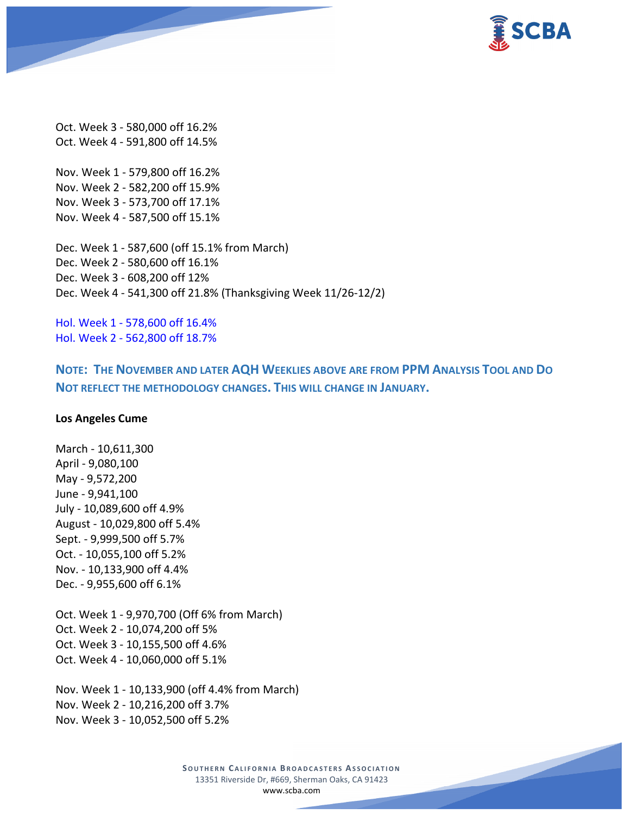

Oct. Week 3 - 580,000 off 16.2% Oct. Week 4 - 591,800 off 14.5%

Nov. Week 1 - 579,800 off 16.2% Nov. Week 2 - 582,200 off 15.9% Nov. Week 3 - 573,700 off 17.1% Nov. Week 4 - 587,500 off 15.1%

Dec. Week 1 - 587,600 (off 15.1% from March) Dec. Week 2 - 580,600 off 16.1% Dec. Week 3 - 608,200 off 12% Dec. Week 4 - 541,300 off 21.8% (Thanksgiving Week 11/26-12/2)

Hol. Week 1 - 578,600 off 16.4% Hol. Week 2 - 562,800 off 18.7%

**NOTE: THE NOVEMBER AND LATER AQH WEEKLIES ABOVE ARE FROM PPM ANALYSIS TOOL AND DO NOT REFLECT THE METHODOLOGY CHANGES. THIS WILL CHANGE IN JANUARY.**

#### **Los Angeles Cume**

March - 10,611,300 April - 9,080,100 May - 9,572,200 June - 9,941,100 July - 10,089,600 off 4.9% August - 10,029,800 off 5.4% Sept. - 9,999,500 off 5.7% Oct. - 10,055,100 off 5.2% Nov. - 10,133,900 off 4.4% Dec. - 9,955,600 off 6.1%

Oct. Week 1 - 9,970,700 (Off 6% from March) Oct. Week 2 - 10,074,200 off 5% Oct. Week 3 - 10,155,500 off 4.6% Oct. Week 4 - 10,060,000 off 5.1%

Nov. Week 1 - 10,133,900 (off 4.4% from March) Nov. Week 2 - 10,216,200 off 3.7% Nov. Week 3 - 10,052,500 off 5.2%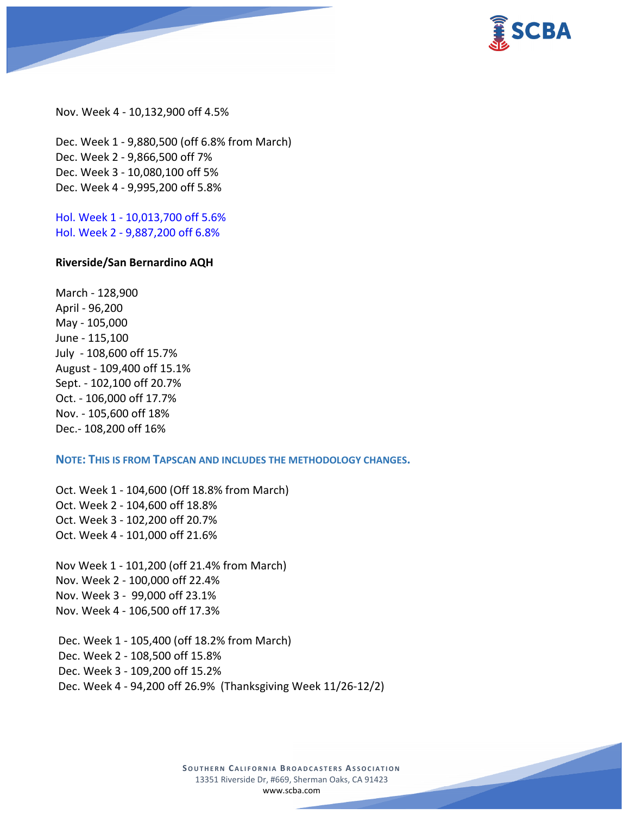

Nov. Week 4 - 10,132,900 off 4.5%

Dec. Week 1 - 9,880,500 (off 6.8% from March) Dec. Week 2 - 9,866,500 off 7% Dec. Week 3 - 10,080,100 off 5% Dec. Week 4 - 9,995,200 off 5.8%

Hol. Week 1 - 10,013,700 off 5.6% Hol. Week 2 - 9,887,200 off 6.8%

#### **Riverside/San Bernardino AQH**

March - 128,900 April - 96,200 May - 105,000 June - 115,100 July - 108,600 off 15.7% August - 109,400 off 15.1% Sept. - 102,100 off 20.7% Oct. - 106,000 off 17.7% Nov. - 105,600 off 18% Dec.- 108,200 off 16%

### **NOTE: THIS IS FROM TAPSCAN AND INCLUDES THE METHODOLOGY CHANGES.**

Oct. Week 1 - 104,600 (Off 18.8% from March) Oct. Week 2 - 104,600 off 18.8% Oct. Week 3 - 102,200 off 20.7% Oct. Week 4 - 101,000 off 21.6%

Nov Week 1 - 101,200 (off 21.4% from March) Nov. Week 2 - 100,000 off 22.4% Nov. Week 3 - 99,000 off 23.1% Nov. Week 4 - 106,500 off 17.3%

Dec. Week 1 - 105,400 (off 18.2% from March) Dec. Week 2 - 108,500 off 15.8% Dec. Week 3 - 109,200 off 15.2% Dec. Week 4 - 94,200 off 26.9% (Thanksgiving Week 11/26-12/2)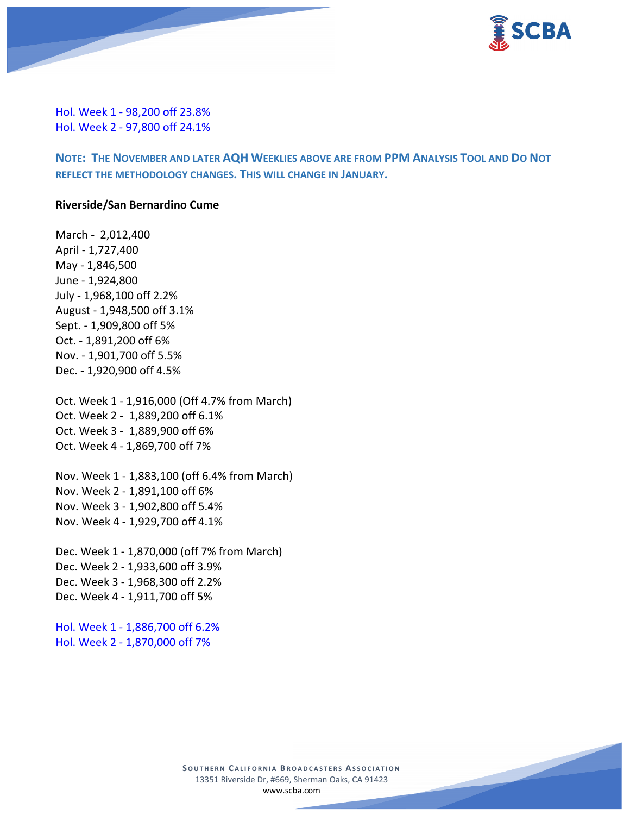

Hol. Week 1 - 98,200 off 23.8% Hol. Week 2 - 97,800 off 24.1%

**NOTE: THE NOVEMBER AND LATER AQH WEEKLIES ABOVE ARE FROM PPM ANALYSIS TOOL AND DO NOT REFLECT THE METHODOLOGY CHANGES. THIS WILL CHANGE IN JANUARY.**

#### **Riverside/San Bernardino Cume**

March - 2,012,400 April - 1,727,400 May - 1,846,500 June - 1,924,800 July - 1,968,100 off 2.2% August - 1,948,500 off 3.1% Sept. - 1,909,800 off 5% Oct. - 1,891,200 off 6% Nov. - 1,901,700 off 5.5% Dec. - 1,920,900 off 4.5%

Oct. Week 1 - 1,916,000 (Off 4.7% from March) Oct. Week 2 - 1,889,200 off 6.1% Oct. Week 3 - 1,889,900 off 6% Oct. Week 4 - 1,869,700 off 7%

Nov. Week 1 - 1,883,100 (off 6.4% from March) Nov. Week 2 - 1,891,100 off 6% Nov. Week 3 - 1,902,800 off 5.4% Nov. Week 4 - 1,929,700 off 4.1%

Dec. Week 1 - 1,870,000 (off 7% from March) Dec. Week 2 - 1,933,600 off 3.9% Dec. Week 3 - 1,968,300 off 2.2% Dec. Week 4 - 1,911,700 off 5%

Hol. Week 1 - 1,886,700 off 6.2% Hol. Week 2 - 1,870,000 off 7%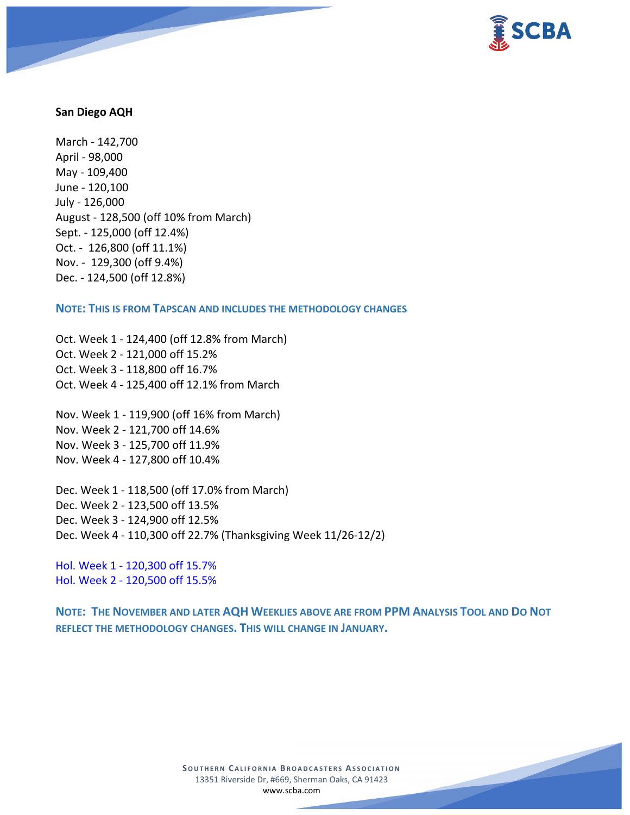

#### **San Diego AQH**

March - 142,700 April - 98,000 May - 109,400 June - 120,100 July - 126,000 August - 128,500 (off 10% from March) Sept. - 125,000 (off 12.4%) Oct. - 126,800 (off 11.1%) Nov. - 129,300 (off 9.4%) Dec. - 124,500 (off 12.8%)

**NOTE: THIS IS FROM TAPSCAN AND INCLUDES THE METHODOLOGY CHANGES** 

Oct. Week 1 - 124,400 (off 12.8% from March) Oct. Week 2 - 121,000 off 15.2% Oct. Week 3 - 118,800 off 16.7% Oct. Week 4 - 125,400 off 12.1% from March

Nov. Week 1 - 119,900 (off 16% from March) Nov. Week 2 - 121,700 off 14.6% Nov. Week 3 - 125,700 off 11.9% Nov. Week 4 - 127,800 off 10.4%

Dec. Week 1 - 118,500 (off 17.0% from March) Dec. Week 2 - 123,500 off 13.5% Dec. Week 3 - 124,900 off 12.5% Dec. Week 4 - 110,300 off 22.7% (Thanksgiving Week 11/26-12/2)

Hol. Week 1 - 120,300 off 15.7% Hol. Week 2 - 120,500 off 15.5%

**NOTE: THE NOVEMBER AND LATER AQH WEEKLIES ABOVE ARE FROM PPM ANALYSIS TOOL AND DO NOT REFLECT THE METHODOLOGY CHANGES. THIS WILL CHANGE IN JANUARY.**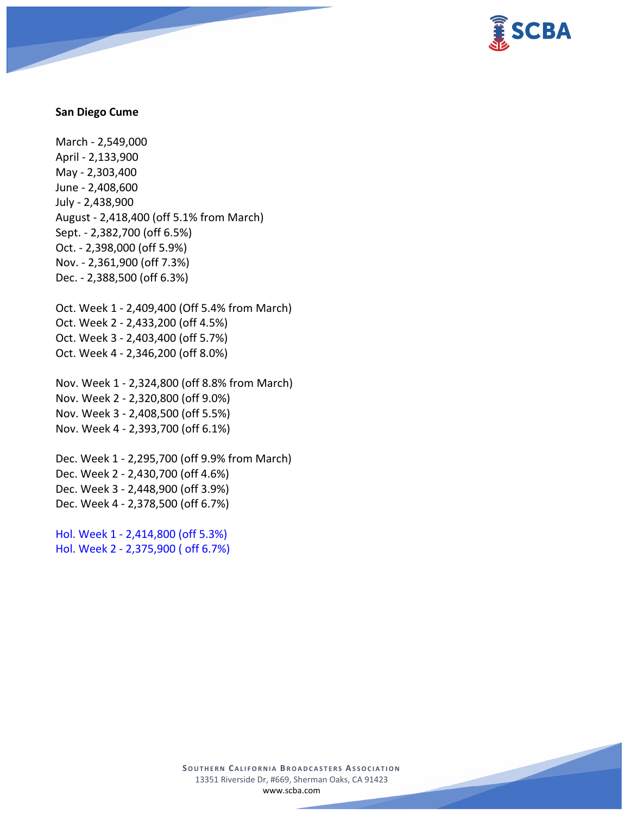

#### **San Diego Cume**

March - 2,549,000 April - 2,133,900 May - 2,303,400 June - 2,408,600 July - 2,438,900 August - 2,418,400 (off 5.1% from March) Sept. - 2,382,700 (off 6.5%) Oct. - 2,398,000 (off 5.9%) Nov. - 2,361,900 (off 7.3%) Dec. - 2,388,500 (off 6.3%)

Oct. Week 1 - 2,409,400 (Off 5.4% from March) Oct. Week 2 - 2,433,200 (off 4.5%) Oct. Week 3 - 2,403,400 (off 5.7%) Oct. Week 4 - 2,346,200 (off 8.0%)

Nov. Week 1 - 2,324,800 (off 8.8% from March) Nov. Week 2 - 2,320,800 (off 9.0%) Nov. Week 3 - 2,408,500 (off 5.5%) Nov. Week 4 - 2,393,700 (off 6.1%)

Dec. Week 1 - 2,295,700 (off 9.9% from March) Dec. Week 2 - 2,430,700 (off 4.6%) Dec. Week 3 - 2,448,900 (off 3.9%) Dec. Week 4 - 2,378,500 (off 6.7%)

Hol. Week 1 - 2,414,800 (off 5.3%) Hol. Week 2 - 2,375,900 ( off 6.7%)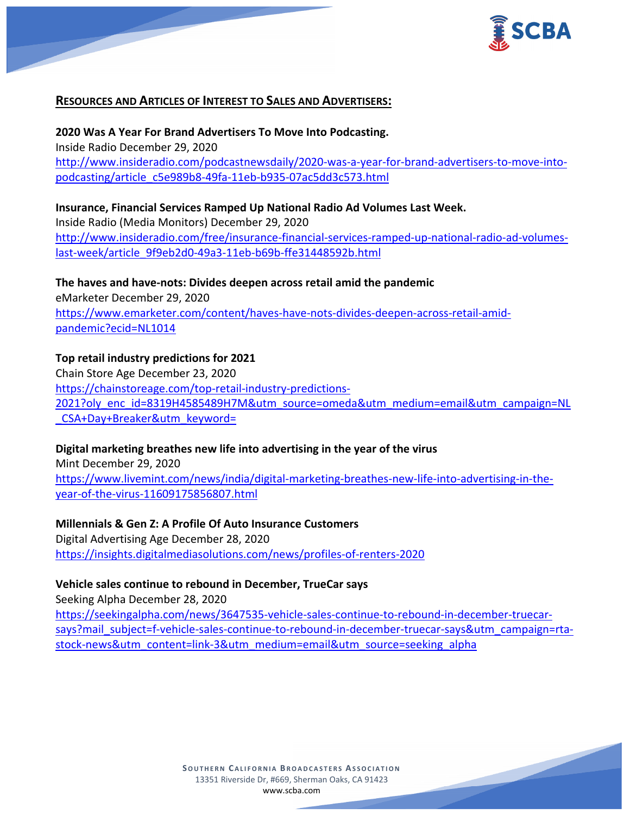

## **RESOURCES AND ARTICLES OF INTEREST TO SALES AND ADVERTISERS:**

**2020 Was A Year For Brand Advertisers To Move Into Podcasting.** Inside Radio December 29, 2020 [http://www.insideradio.com/podcastnewsdaily/2020-was-a-year-for-brand-advertisers-to-move-into](http://www.insideradio.com/podcastnewsdaily/2020-was-a-year-for-brand-advertisers-to-move-into-podcasting/article_c5e989b8-49fa-11eb-b935-07ac5dd3c573.html)[podcasting/article\\_c5e989b8-49fa-11eb-b935-07ac5dd3c573.html](http://www.insideradio.com/podcastnewsdaily/2020-was-a-year-for-brand-advertisers-to-move-into-podcasting/article_c5e989b8-49fa-11eb-b935-07ac5dd3c573.html)

#### **Insurance, Financial Services Ramped Up National Radio Ad Volumes Last Week.**

Inside Radio (Media Monitors) December 29, 2020 [http://www.insideradio.com/free/insurance-financial-services-ramped-up-national-radio-ad-volumes](http://www.insideradio.com/free/insurance-financial-services-ramped-up-national-radio-ad-volumes-last-week/article_9f9eb2d0-49a3-11eb-b69b-ffe31448592b.html)[last-week/article\\_9f9eb2d0-49a3-11eb-b69b-ffe31448592b.html](http://www.insideradio.com/free/insurance-financial-services-ramped-up-national-radio-ad-volumes-last-week/article_9f9eb2d0-49a3-11eb-b69b-ffe31448592b.html)

**The haves and have-nots: Divides deepen across retail amid the pandemic** eMarketer December 29, 2020 [https://www.emarketer.com/content/haves-have-nots-divides-deepen-across-retail-amid](https://www.emarketer.com/content/haves-have-nots-divides-deepen-across-retail-amid-pandemic?ecid=NL1014)[pandemic?ecid=NL1014](https://www.emarketer.com/content/haves-have-nots-divides-deepen-across-retail-amid-pandemic?ecid=NL1014)

### **Top retail industry predictions for 2021**

Chain Store Age December 23, 2020 [https://chainstoreage.com/top-retail-industry-predictions-](https://chainstoreage.com/top-retail-industry-predictions-2021?oly_enc_id=8319H4585489H7M&utm_source=omeda&utm_medium=email&utm_campaign=NL_CSA+Day+Breaker&utm_keyword=)[2021?oly\\_enc\\_id=8319H4585489H7M&utm\\_source=omeda&utm\\_medium=email&utm\\_campaign=NL](https://chainstoreage.com/top-retail-industry-predictions-2021?oly_enc_id=8319H4585489H7M&utm_source=omeda&utm_medium=email&utm_campaign=NL_CSA+Day+Breaker&utm_keyword=) CSA+Day+Breaker&utm\_keyword=

### **Digital marketing breathes new life into advertising in the year of the virus**

Mint December 29, 2020 [https://www.livemint.com/news/india/digital-marketing-breathes-new-life-into-advertising-in-the](https://www.livemint.com/news/india/digital-marketing-breathes-new-life-into-advertising-in-the-year-of-the-virus-11609175856807.html)[year-of-the-virus-11609175856807.html](https://www.livemint.com/news/india/digital-marketing-breathes-new-life-into-advertising-in-the-year-of-the-virus-11609175856807.html)

### **Millennials & Gen Z: A Profile Of Auto Insurance Customers**

Digital Advertising Age December 28, 2020 <https://insights.digitalmediasolutions.com/news/profiles-of-renters-2020>

### **Vehicle sales continue to rebound in December, TrueCar says**

Seeking Alpha December 28, 2020 [https://seekingalpha.com/news/3647535-vehicle-sales-continue-to-rebound-in-december-truecar](https://seekingalpha.com/news/3647535-vehicle-sales-continue-to-rebound-in-december-truecar-says?mail_subject=f-vehicle-sales-continue-to-rebound-in-december-truecar-says&utm_campaign=rta-stock-news&utm_content=link-3&utm_medium=email&utm_source=seeking_alpha)[says?mail\\_subject=f-vehicle-sales-continue-to-rebound-in-december-truecar-says&utm\\_campaign=rta](https://seekingalpha.com/news/3647535-vehicle-sales-continue-to-rebound-in-december-truecar-says?mail_subject=f-vehicle-sales-continue-to-rebound-in-december-truecar-says&utm_campaign=rta-stock-news&utm_content=link-3&utm_medium=email&utm_source=seeking_alpha)[stock-news&utm\\_content=link-3&utm\\_medium=email&utm\\_source=seeking\\_alpha](https://seekingalpha.com/news/3647535-vehicle-sales-continue-to-rebound-in-december-truecar-says?mail_subject=f-vehicle-sales-continue-to-rebound-in-december-truecar-says&utm_campaign=rta-stock-news&utm_content=link-3&utm_medium=email&utm_source=seeking_alpha)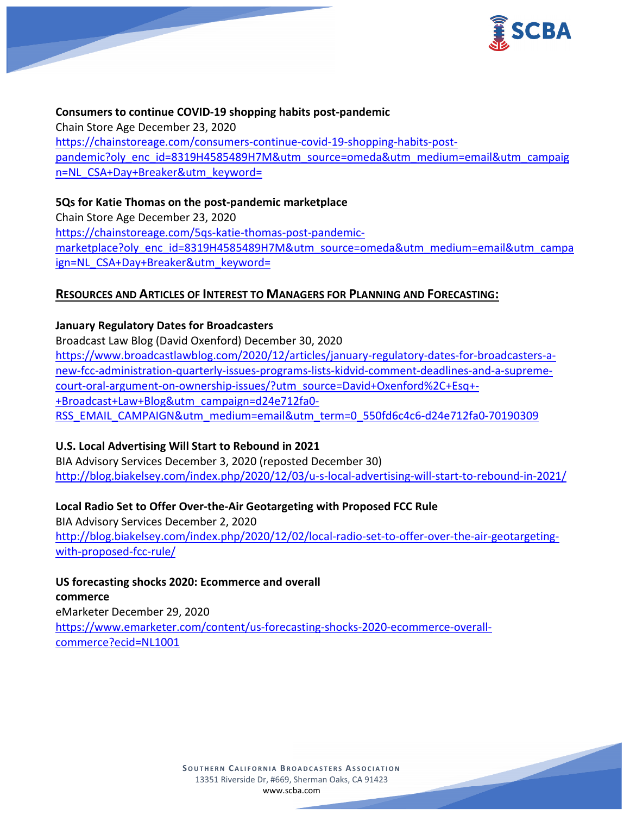

# **Consumers to continue COVID-19 shopping habits post-pandemic** Chain Store Age December 23, 2020 [https://chainstoreage.com/consumers-continue-covid-19-shopping-habits-post](https://chainstoreage.com/consumers-continue-covid-19-shopping-habits-post-pandemic?oly_enc_id=8319H4585489H7M&utm_source=omeda&utm_medium=email&utm_campaign=NL_CSA+Day+Breaker&utm_keyword=)[pandemic?oly\\_enc\\_id=8319H4585489H7M&utm\\_source=omeda&utm\\_medium=email&utm\\_campaig](https://chainstoreage.com/consumers-continue-covid-19-shopping-habits-post-pandemic?oly_enc_id=8319H4585489H7M&utm_source=omeda&utm_medium=email&utm_campaign=NL_CSA+Day+Breaker&utm_keyword=) [n=NL\\_CSA+Day+Breaker&utm\\_keyword=](https://chainstoreage.com/consumers-continue-covid-19-shopping-habits-post-pandemic?oly_enc_id=8319H4585489H7M&utm_source=omeda&utm_medium=email&utm_campaign=NL_CSA+Day+Breaker&utm_keyword=)

## **5Qs for Katie Thomas on the post-pandemic marketplace**

Chain Store Age December 23, 2020 [https://chainstoreage.com/5qs-katie-thomas-post-pandemic](https://chainstoreage.com/5qs-katie-thomas-post-pandemic-marketplace?oly_enc_id=8319H4585489H7M&utm_source=omeda&utm_medium=email&utm_campaign=NL_CSA+Day+Breaker&utm_keyword=)[marketplace?oly\\_enc\\_id=8319H4585489H7M&utm\\_source=omeda&utm\\_medium=email&utm\\_campa](https://chainstoreage.com/5qs-katie-thomas-post-pandemic-marketplace?oly_enc_id=8319H4585489H7M&utm_source=omeda&utm_medium=email&utm_campaign=NL_CSA+Day+Breaker&utm_keyword=) ign=NL CSA+Day+Breaker&utm\_keyword=

## **RESOURCES AND ARTICLES OF INTEREST TO MANAGERS FOR PLANNING AND FORECASTING:**

## **January Regulatory Dates for Broadcasters**

Broadcast Law Blog (David Oxenford) December 30, 2020 [https://www.broadcastlawblog.com/2020/12/articles/january-regulatory-dates-for-broadcasters-a](https://www.broadcastlawblog.com/2020/12/articles/january-regulatory-dates-for-broadcasters-a-new-fcc-administration-quarterly-issues-programs-lists-kidvid-comment-deadlines-and-a-supreme-court-oral-argument-on-ownership-issues/?utm_source=David+Oxenford%2C+Esq+-+Broadcast+Law+Blog&utm_campaign=d24e712fa0-RSS_EMAIL_CAMPAIGN&utm_medium=email&utm_term=0_550fd6c4c6-d24e712fa0-70190309)[new-fcc-administration-quarterly-issues-programs-lists-kidvid-comment-deadlines-and-a-supreme](https://www.broadcastlawblog.com/2020/12/articles/january-regulatory-dates-for-broadcasters-a-new-fcc-administration-quarterly-issues-programs-lists-kidvid-comment-deadlines-and-a-supreme-court-oral-argument-on-ownership-issues/?utm_source=David+Oxenford%2C+Esq+-+Broadcast+Law+Blog&utm_campaign=d24e712fa0-RSS_EMAIL_CAMPAIGN&utm_medium=email&utm_term=0_550fd6c4c6-d24e712fa0-70190309)[court-oral-argument-on-ownership-issues/?utm\\_source=David+Oxenford%2C+Esq+-](https://www.broadcastlawblog.com/2020/12/articles/january-regulatory-dates-for-broadcasters-a-new-fcc-administration-quarterly-issues-programs-lists-kidvid-comment-deadlines-and-a-supreme-court-oral-argument-on-ownership-issues/?utm_source=David+Oxenford%2C+Esq+-+Broadcast+Law+Blog&utm_campaign=d24e712fa0-RSS_EMAIL_CAMPAIGN&utm_medium=email&utm_term=0_550fd6c4c6-d24e712fa0-70190309) [+Broadcast+Law+Blog&utm\\_campaign=d24e712fa0-](https://www.broadcastlawblog.com/2020/12/articles/january-regulatory-dates-for-broadcasters-a-new-fcc-administration-quarterly-issues-programs-lists-kidvid-comment-deadlines-and-a-supreme-court-oral-argument-on-ownership-issues/?utm_source=David+Oxenford%2C+Esq+-+Broadcast+Law+Blog&utm_campaign=d24e712fa0-RSS_EMAIL_CAMPAIGN&utm_medium=email&utm_term=0_550fd6c4c6-d24e712fa0-70190309) [RSS\\_EMAIL\\_CAMPAIGN&utm\\_medium=email&utm\\_term=0\\_550fd6c4c6-d24e712fa0-70190309](https://www.broadcastlawblog.com/2020/12/articles/january-regulatory-dates-for-broadcasters-a-new-fcc-administration-quarterly-issues-programs-lists-kidvid-comment-deadlines-and-a-supreme-court-oral-argument-on-ownership-issues/?utm_source=David+Oxenford%2C+Esq+-+Broadcast+Law+Blog&utm_campaign=d24e712fa0-RSS_EMAIL_CAMPAIGN&utm_medium=email&utm_term=0_550fd6c4c6-d24e712fa0-70190309)

# **U.S. Local Advertising Will Start to Rebound in 2021**

BIA Advisory Services December 3, 2020 (reposted December 30) <http://blog.biakelsey.com/index.php/2020/12/03/u-s-local-advertising-will-start-to-rebound-in-2021/>

## **Local Radio Set to Offer Over-the-Air Geotargeting with Proposed FCC Rule**

BIA Advisory Services December 2, 2020 [http://blog.biakelsey.com/index.php/2020/12/02/local-radio-set-to-offer-over-the-air-geotargeting](http://blog.biakelsey.com/index.php/2020/12/02/local-radio-set-to-offer-over-the-air-geotargeting-with-proposed-fcc-rule/)[with-proposed-fcc-rule/](http://blog.biakelsey.com/index.php/2020/12/02/local-radio-set-to-offer-over-the-air-geotargeting-with-proposed-fcc-rule/)

**US forecasting shocks 2020: Ecommerce and overall commerce**

eMarketer December 29, 2020 [https://www.emarketer.com/content/us-forecasting-shocks-2020-ecommerce-overall](https://www.emarketer.com/content/us-forecasting-shocks-2020-ecommerce-overall-commerce?ecid=NL1001)[commerce?ecid=NL1001](https://www.emarketer.com/content/us-forecasting-shocks-2020-ecommerce-overall-commerce?ecid=NL1001)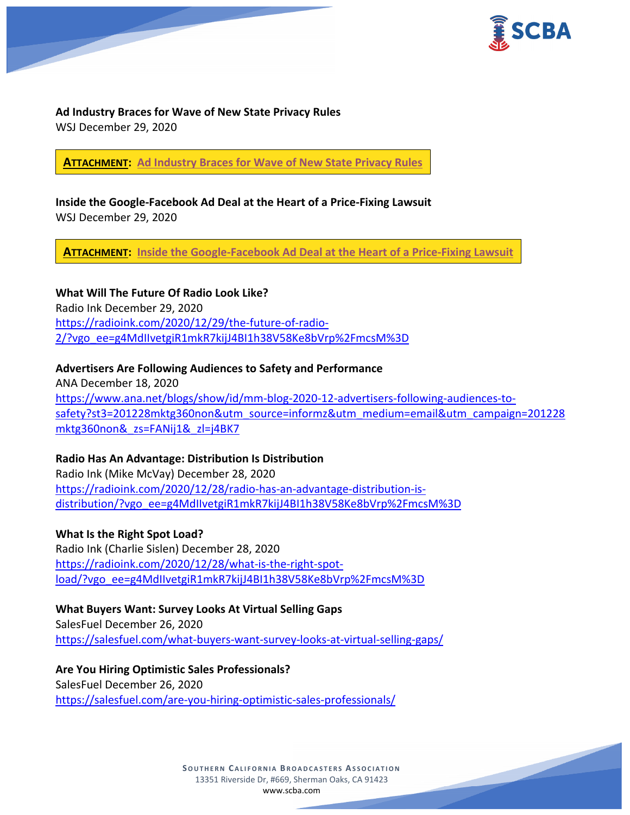

**Ad Industry Braces for Wave of New State Privacy Rules** WSJ December 29, 2020

**ATTACHMENT: [Ad Industry Braces for Wave of New State Privacy Rules](https://scba.com/ad-industry-braces-for-wave-of-new-state-privacy-rules/)**

**Inside the Google-Facebook Ad Deal at the Heart of a Price-Fixing Lawsuit** WSJ December 29, 2020

**ATTACHMENT: [Inside the Google-Facebook Ad Deal at the Heart of a Price-Fixing Lawsuit](https://scba.com/inside-the-google-fb-ad-deal/)**

**What Will The Future Of Radio Look Like?** Radio Ink December 29, 2020 [https://radioink.com/2020/12/29/the-future-of-radio-](https://radioink.com/2020/12/29/the-future-of-radio-2/?vgo_ee=g4MdIIvetgiR1mkR7kijJ4BI1h38V58Ke8bVrp%2FmcsM%3D)[2/?vgo\\_ee=g4MdIIvetgiR1mkR7kijJ4BI1h38V58Ke8bVrp%2FmcsM%3D](https://radioink.com/2020/12/29/the-future-of-radio-2/?vgo_ee=g4MdIIvetgiR1mkR7kijJ4BI1h38V58Ke8bVrp%2FmcsM%3D)

**Advertisers Are Following Audiences to Safety and Performance** ANA December 18, 2020 [https://www.ana.net/blogs/show/id/mm-blog-2020-12-advertisers-following-audiences-to](https://www.ana.net/blogs/show/id/mm-blog-2020-12-advertisers-following-audiences-to-safety?st3=201228mktg360non&utm_source=informz&utm_medium=email&utm_campaign=201228mktg360non&_zs=FANij1&_zl=j4BK7)[safety?st3=201228mktg360non&utm\\_source=informz&utm\\_medium=email&utm\\_campaign=201228](https://www.ana.net/blogs/show/id/mm-blog-2020-12-advertisers-following-audiences-to-safety?st3=201228mktg360non&utm_source=informz&utm_medium=email&utm_campaign=201228mktg360non&_zs=FANij1&_zl=j4BK7) [mktg360non&\\_zs=FANij1&\\_zl=j4BK7](https://www.ana.net/blogs/show/id/mm-blog-2020-12-advertisers-following-audiences-to-safety?st3=201228mktg360non&utm_source=informz&utm_medium=email&utm_campaign=201228mktg360non&_zs=FANij1&_zl=j4BK7)

**Radio Has An Advantage: Distribution Is Distribution** Radio Ink (Mike McVay) December 28, 2020 [https://radioink.com/2020/12/28/radio-has-an-advantage-distribution-is](https://radioink.com/2020/12/28/radio-has-an-advantage-distribution-is-distribution/?vgo_ee=g4MdIIvetgiR1mkR7kijJ4BI1h38V58Ke8bVrp%2FmcsM%3D)[distribution/?vgo\\_ee=g4MdIIvetgiR1mkR7kijJ4BI1h38V58Ke8bVrp%2FmcsM%3D](https://radioink.com/2020/12/28/radio-has-an-advantage-distribution-is-distribution/?vgo_ee=g4MdIIvetgiR1mkR7kijJ4BI1h38V58Ke8bVrp%2FmcsM%3D)

**What Is the Right Spot Load?** Radio Ink (Charlie Sislen) December 28, 2020 [https://radioink.com/2020/12/28/what-is-the-right-spot](https://radioink.com/2020/12/28/what-is-the-right-spot-load/?vgo_ee=g4MdIIvetgiR1mkR7kijJ4BI1h38V58Ke8bVrp%2FmcsM%3D)[load/?vgo\\_ee=g4MdIIvetgiR1mkR7kijJ4BI1h38V58Ke8bVrp%2FmcsM%3D](https://radioink.com/2020/12/28/what-is-the-right-spot-load/?vgo_ee=g4MdIIvetgiR1mkR7kijJ4BI1h38V58Ke8bVrp%2FmcsM%3D)

**What Buyers Want: Survey Looks At Virtual Selling Gaps** SalesFuel December 26, 2020 <https://salesfuel.com/what-buyers-want-survey-looks-at-virtual-selling-gaps/>

**Are You Hiring Optimistic Sales Professionals?** SalesFuel December 26, 2020 <https://salesfuel.com/are-you-hiring-optimistic-sales-professionals/>

> **SOUTHERN CALIFORNIA BROADCASTERS ASSOCIATION** 13351 Riverside Dr, #669, Sherman Oaks, CA 91423 [www.scba.com](http://www.scba.com/)